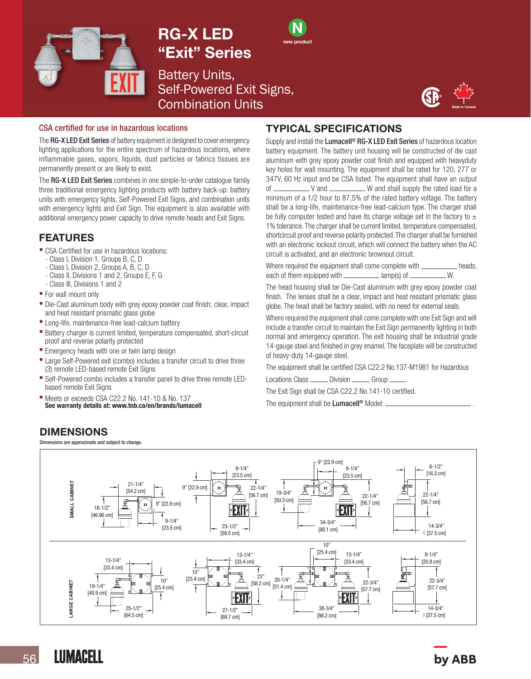

# RG-X LED "Exit" Series



Battery Units, Self-Powered Exit Signs, Combination Units



#### CSA certified for use in hazardous locations

The RG-X LED Exit Series of battery equipment is designed to cover emergency lighting applications for the entire spectrum of hazardous locations, where inflammable gases, vapors, liquids, dust particles or fabrics tissues are permanently present or are likely to exist.

The RG-X LED Exit Series combines in one simple-to-order catalogue family three traditional emergency lighting products with battery back-up: battery units with emergency lights, Self-Powered Exit Signs, and combination units with emergency lights and Exit Sign. The equipment is also available with additional emergency power capacity to drive remote heads and Exit Signs.

### FEATURES

- CSA Certified for use in hazardous locations:
- Class I, Division 1, Groups B, C, D
- Class I, Division 2, Groups A, B, C, D
- Class II, Divisions 1 and 2, Groups E, F, G
- Class III, Divisions 1 and 2
- For wall mount only
- Die-Cast aluminum body with grey epoxy powder coat finish; clear, impact and heat resistant prismatic glass globe
- Long-life, maintenance-free lead-calcium battery
- Battery charger is current limited, temperature compensated, short-circuit proof and reverse polarity protected
- Emergency heads with one or twin lamp design
- Large Self-Powered exit (combo) includes a transfer circuit to drive three (3) remote LED-based remote Exit Signs
- Self-Powered combo includes a transfer panel to drive three remote LEDbased remote Exit Signs
- Meets or exceeds CSA C22.2 No. 141-10 & No. 137<br>See warranty details at: www.tnb.ca/en/brands/lumacell

### DIMENSIONS

Dimensions are approximate and subject to change.

### TYPICAL SPECIFICATIONS

Supply and install the Lumacell<sup>®</sup> RG-X LED Exit Series of hazardous location battery equipment. The battery unit housing will be constructed of die cast aluminum with grey epoxy powder coat finish and equipped with heavyduty key holes for wall mounting. The equipment shall be rated for 120, 277 or 347V, 60 Hz input and be CSA listed. The equipment shall have an output of V and W and shall supply the rated load for a minimum of a 1/2 hour to 87,5% of the rated battery voltage. The battery shall be a long-life, maintenance-free lead-calcium type. The charger shall be fully computer tested and have its charge voltage set in the factory to  $\pm$ 1% tolerance. The charger shall be current limited, temperature compensated, shortcircuit proof and reverse polarity protected. The charger shall be furnished with an electronic lockout circuit, which will connect the battery when the AC circuit is activated, and an electronic brownout circuit.

Where required the equipment shall come complete with \_\_\_\_\_\_\_\_\_\_\_\_ heads, each of them equipped with  $\frac{1}{\text{max}}$  lamp(s) of  $\frac{1}{\text{max}}$  W.

The head housing shall be Die-Cast aluminum with grey epoxy powder coat finish. The lenses shall be a clear, impact and heat resistant prismatic glass globe. The head shall be factory sealed, with no need for external seals.

Where required the equipment shall come complete with one Exit Sign and will include a transfer circuit to maintain the Exit Sign permanently lighting in both normal and emergency operation. The exit housing shall be industrial grade 14-gauge steel and finished in grey enamel. The faceplate will be constructed of heavy-duty 14-gauge steel.

The equipment shall be certified CSA C22.2 No.137-M1981 for Hazardous

Locations Class \_\_\_\_\_, Division \_\_\_\_\_, Group \_

The Exit Sign shall be CSA C22.2 No.141-10 certified.

The equipment shall be **Lumacell<sup>®</sup>** Model:



**LUMACELL**